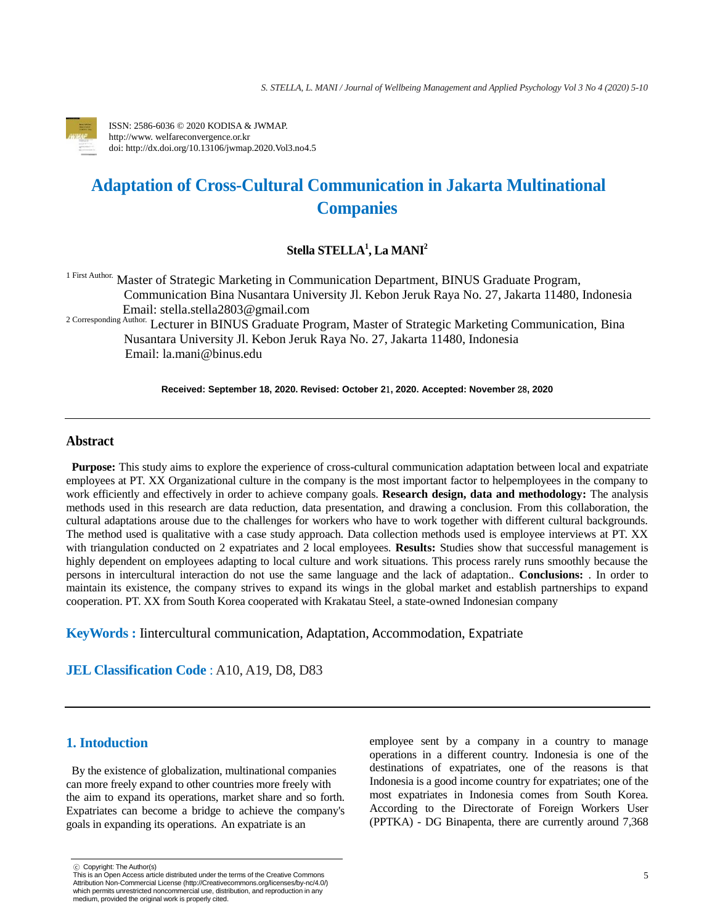

ISSN: 2586-6036 © 2020 KODISA & JWMAP. http://www. welfareconvergence.or.kr doi: http://dx.doi.org/10.13106/jwmap.2020.Vol3.no4.5

# **Adaptation of Cross-Cultural Communication in Jakarta Multinational Companies**

# **Stella STELLA<sup>1</sup> , La MANI<sup>2</sup>**

1 First Author. Master of Strategic Marketing in Communication Department, BINUS Graduate Program, Communication Bina Nusantara University Jl. Kebon Jeruk Raya No. 27, Jakarta 11480, Indonesia Email: stella.stella2803@gmail.com

<sup>2 Corresponding Author.</sup> Lecturer in BINUS Graduate Program, Master of Strategic Marketing Communication, Bina Nusantara University Jl. Kebon Jeruk Raya No. 27, Jakarta 11480, Indonesia Email: la.mani@binus.edu

**Received: September 18, 2020. Revised: October 2**1**, 2020. Accepted: November** 28**, 2020**

# **Abstract**

**Purpose:** This study aims to explore the experience of cross-cultural communication adaptation between local and expatriate employees at PT. XX Organizational culture in the company is the most important factor to helpemployees in the company to work efficiently and effectively in order to achieve company goals. **Research design, data and methodology:** The analysis methods used in this research are data reduction, data presentation, and drawing a conclusion. From this collaboration, the cultural adaptations arouse due to the challenges for workers who have to work together with different cultural backgrounds. The method used is qualitative with a case study approach. Data collection methods used is employee interviews at PT. XX with triangulation conducted on 2 expatriates and 2 local employees. **Results:** Studies show that successful management is highly dependent on employees adapting to local culture and work situations. This process rarely runs smoothly because the persons in intercultural interaction do not use the same language and the lack of adaptation.. **Conclusions:** . In order to maintain its existence, the company strives to expand its wings in the global market and establish partnerships to expand cooperation. PT. XX from South Korea cooperated with Krakatau Steel, a state-owned Indonesian company

**KeyWords :** Iintercultural communication, Adaptation, Accommodation, Expatriate

**JEL Classification Code** : A10, A19, D8, D83

# **1. Intoduction**

By the existence of globalization, multinational companies can more freely expand to other countries more freely with the aim to expand its operations, market share and so forth. Expatriates can become a bridge to achieve the company's goals in expanding its operations. An expatriate is an

employee sent by a company in a country to manage operations in a different country. Indonesia is one of the destinations of expatriates, one of the reasons is that Indonesia is a good income country for expatriates; one of the most expatriates in Indonesia comes from South Korea. According to the Directorate of Foreign Workers User (PPTKA) - DG Binapenta, there are currently around 7,368

<sup>ⓒ</sup> Copyright: The Author(s)

This is an Open Access article distributed under the terms of the Creative Commons Attribution Non-Commercial License [\(http://Creativecommons.org/licenses/by-nc/4.0/\)](http://creativecommons.org/licenses/by-nc/4.0/) which permits unrestricted noncommercial use, distribution, and reproduction in any medium, provided the original work is properly cited.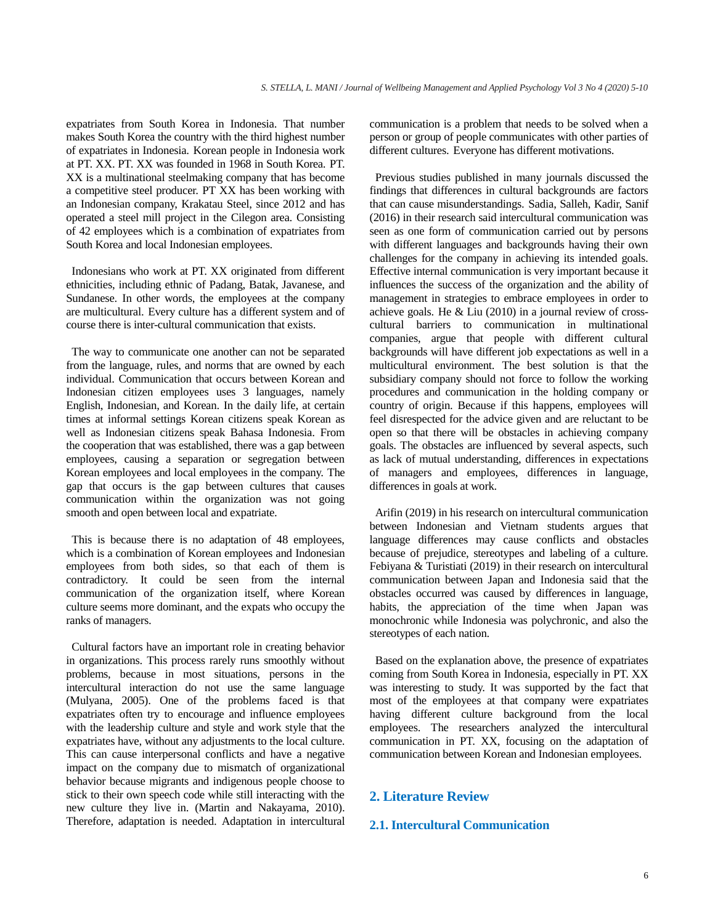expatriates from South Korea in Indonesia. That number makes South Korea the country with the third highest number of expatriates in Indonesia. Korean people in Indonesia work at PT. XX. PT. XX was founded in 1968 in South Korea. PT. XX is a multinational steelmaking company that has become a competitive steel producer. PT XX has been working with an Indonesian company, Krakatau Steel, since 2012 and has operated a steel mill project in the Cilegon area. Consisting of 42 employees which is a combination of expatriates from South Korea and local Indonesian employees.

Indonesians who work at PT. XX originated from different ethnicities, including ethnic of Padang, Batak, Javanese, and Sundanese. In other words, the employees at the company are multicultural. Every culture has a different system and of course there is inter-cultural communication that exists.

The way to communicate one another can not be separated from the language, rules, and norms that are owned by each individual. Communication that occurs between Korean and Indonesian citizen employees uses 3 languages, namely English, Indonesian, and Korean. In the daily life, at certain times at informal settings Korean citizens speak Korean as well as Indonesian citizens speak Bahasa Indonesia. From the cooperation that was established, there was a gap between employees, causing a separation or segregation between Korean employees and local employees in the company. The gap that occurs is the gap between cultures that causes communication within the organization was not going smooth and open between local and expatriate.

This is because there is no adaptation of 48 employees, which is a combination of Korean employees and Indonesian employees from both sides, so that each of them is contradictory. It could be seen from the internal communication of the organization itself, where Korean culture seems more dominant, and the expats who occupy the ranks of managers.

Cultural factors have an important role in creating behavior in organizations. This process rarely runs smoothly without problems, because in most situations, persons in the intercultural interaction do not use the same language (Mulyana, 2005). One of the problems faced is that expatriates often try to encourage and influence employees with the leadership culture and style and work style that the expatriates have, without any adjustments to the local culture. This can cause interpersonal conflicts and have a negative impact on the company due to mismatch of organizational behavior because migrants and indigenous people choose to stick to their own speech code while still interacting with the new culture they live in. (Martin and Nakayama, 2010). Therefore, adaptation is needed. Adaptation in intercultural

communication is a problem that needs to be solved when a person or group of people communicates with other parties of different cultures. Everyone has different motivations.

Previous studies published in many journals discussed the findings that differences in cultural backgrounds are factors that can cause misunderstandings. Sadia, Salleh, Kadir, Sanif (2016) in their research said intercultural communication was seen as one form of communication carried out by persons with different languages and backgrounds having their own challenges for the company in achieving its intended goals. Effective internal communication is very important because it influences the success of the organization and the ability of management in strategies to embrace employees in order to achieve goals. He & Liu (2010) in a journal review of crosscultural barriers to communication in multinational companies, argue that people with different cultural backgrounds will have different job expectations as well in a multicultural environment. The best solution is that the subsidiary company should not force to follow the working procedures and communication in the holding company or country of origin. Because if this happens, employees will feel disrespected for the advice given and are reluctant to be open so that there will be obstacles in achieving company goals. The obstacles are influenced by several aspects, such as lack of mutual understanding, differences in expectations of managers and employees, differences in language, differences in goals at work.

Arifin (2019) in his research on intercultural communication between Indonesian and Vietnam students argues that language differences may cause conflicts and obstacles because of prejudice, stereotypes and labeling of a culture. Febiyana & Turistiati (2019) in their research on intercultural communication between Japan and Indonesia said that the obstacles occurred was caused by differences in language, habits, the appreciation of the time when Japan was monochronic while Indonesia was polychronic, and also the stereotypes of each nation.

Based on the explanation above, the presence of expatriates coming from South Korea in Indonesia, especially in PT. XX was interesting to study. It was supported by the fact that most of the employees at that company were expatriates having different culture background from the local employees. The researchers analyzed the intercultural communication in PT. XX, focusing on the adaptation of communication between Korean and Indonesian employees.

# **2. Literature Review**

#### **2.1. Intercultural Communication**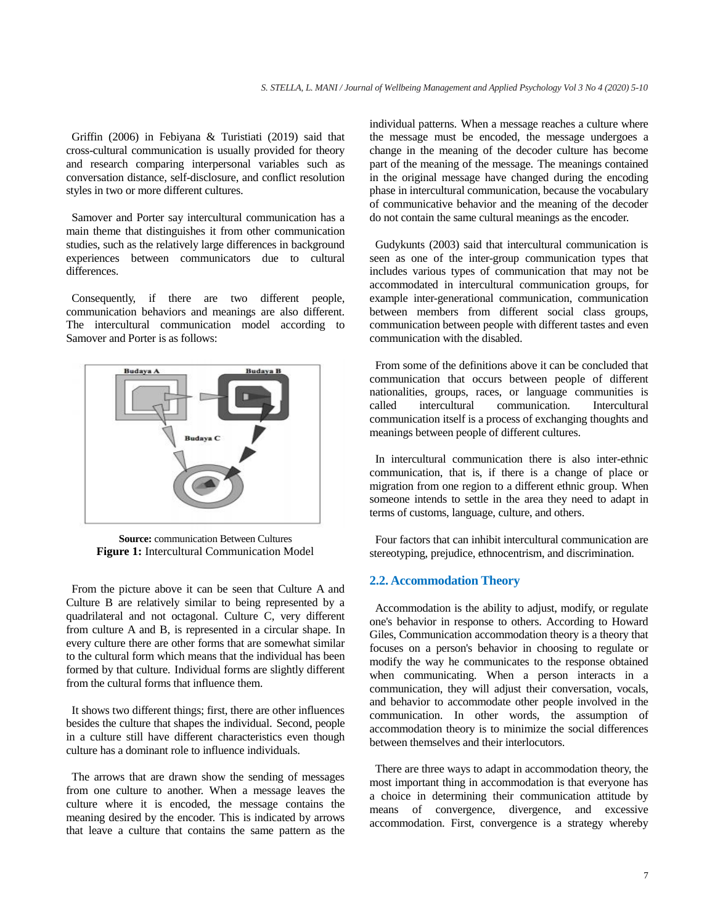Griffin (2006) in Febiyana & Turistiati (2019) said that cross-cultural communication is usually provided for theory and research comparing interpersonal variables such as conversation distance, self-disclosure, and conflict resolution styles in two or more different cultures.

Samover and Porter say intercultural communication has a main theme that distinguishes it from other communication studies, such as the relatively large differences in background experiences between communicators due to cultural differences.

Consequently, if there are two different people, communication behaviors and meanings are also different. The intercultural communication model according to Samover and Porter is as follows:



**Source:** communication Between Cultures **Figure 1:** Intercultural Communication Model

From the picture above it can be seen that Culture A and Culture B are relatively similar to being represented by a quadrilateral and not octagonal. Culture C, very different from culture A and B, is represented in a circular shape. In every culture there are other forms that are somewhat similar to the cultural form which means that the individual has been formed by that culture. Individual forms are slightly different from the cultural forms that influence them.

It shows two different things; first, there are other influences besides the culture that shapes the individual. Second, people in a culture still have different characteristics even though culture has a dominant role to influence individuals.

The arrows that are drawn show the sending of messages from one culture to another. When a message leaves the culture where it is encoded, the message contains the meaning desired by the encoder. This is indicated by arrows that leave a culture that contains the same pattern as the

individual patterns. When a message reaches a culture where the message must be encoded, the message undergoes a change in the meaning of the decoder culture has become part of the meaning of the message. The meanings contained in the original message have changed during the encoding phase in intercultural communication, because the vocabulary of communicative behavior and the meaning of the decoder do not contain the same cultural meanings as the encoder.

Gudykunts (2003) said that intercultural communication is seen as one of the inter-group communication types that includes various types of communication that may not be accommodated in intercultural communication groups, for example inter-generational communication, communication between members from different social class groups, communication between people with different tastes and even communication with the disabled.

From some of the definitions above it can be concluded that communication that occurs between people of different nationalities, groups, races, or language communities is called intercultural communication. Intercultural communication itself is a process of exchanging thoughts and meanings between people of different cultures.

In intercultural communication there is also inter-ethnic communication, that is, if there is a change of place or migration from one region to a different ethnic group. When someone intends to settle in the area they need to adapt in terms of customs, language, culture, and others.

Four factors that can inhibit intercultural communication are stereotyping, prejudice, ethnocentrism, and discrimination.

#### **2.2. Accommodation Theory**

Accommodation is the ability to adjust, modify, or regulate one's behavior in response to others. According to Howard Giles, Communication accommodation theory is a theory that focuses on a person's behavior in choosing to regulate or modify the way he communicates to the response obtained when communicating. When a person interacts in a communication, they will adjust their conversation, vocals, and behavior to accommodate other people involved in the communication. In other words, the assumption of accommodation theory is to minimize the social differences between themselves and their interlocutors.

There are three ways to adapt in accommodation theory, the most important thing in accommodation is that everyone has a choice in determining their communication attitude by means of convergence, divergence, and excessive accommodation. First, convergence is a strategy whereby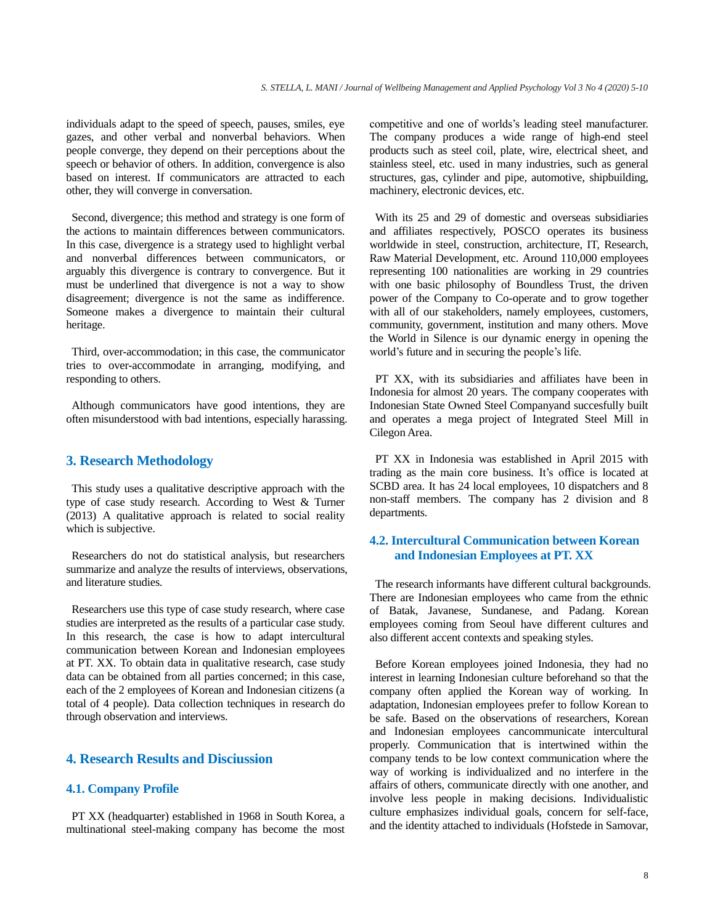individuals adapt to the speed of speech, pauses, smiles, eye gazes, and other verbal and nonverbal behaviors. When people converge, they depend on their perceptions about the speech or behavior of others. In addition, convergence is also based on interest. If communicators are attracted to each other, they will converge in conversation.

Second, divergence; this method and strategy is one form of the actions to maintain differences between communicators. In this case, divergence is a strategy used to highlight verbal and nonverbal differences between communicators, or arguably this divergence is contrary to convergence. But it must be underlined that divergence is not a way to show disagreement; divergence is not the same as indifference. Someone makes a divergence to maintain their cultural heritage.

Third, over-accommodation; in this case, the communicator tries to over-accommodate in arranging, modifying, and responding to others.

Although communicators have good intentions, they are often misunderstood with bad intentions, especially harassing.

## **3. Research Methodology**

This study uses a qualitative descriptive approach with the type of case study research. According to West & Turner (2013) A qualitative approach is related to social reality which is subjective.

Researchers do not do statistical analysis, but researchers summarize and analyze the results of interviews, observations, and literature studies.

Researchers use this type of case study research, where case studies are interpreted as the results of a particular case study. In this research, the case is how to adapt intercultural communication between Korean and Indonesian employees at PT. XX. To obtain data in qualitative research, case study data can be obtained from all parties concerned; in this case, each of the 2 employees of Korean and Indonesian citizens (a total of 4 people). Data collection techniques in research do through observation and interviews.

## **4. Research Results and Disciussion**

### **4.1. Company Profile**

PT XX (headquarter) established in 1968 in South Korea, a multinational steel-making company has become the most competitive and one of worlds's leading steel manufacturer. The company produces a wide range of high-end steel products such as steel coil, plate, wire, electrical sheet, and stainless steel, etc. used in many industries, such as general structures, gas, cylinder and pipe, automotive, shipbuilding, machinery, electronic devices, etc.

With its 25 and 29 of domestic and overseas subsidiaries and affiliates respectively, POSCO operates its business worldwide in steel, construction, architecture, IT, Research, Raw Material Development, etc. Around 110,000 employees representing 100 nationalities are working in 29 countries with one basic philosophy of Boundless Trust, the driven power of the Company to Co-operate and to grow together with all of our stakeholders, namely employees, customers, community, government, institution and many others. Move the World in Silence is our dynamic energy in opening the world's future and in securing the people's life.

PT XX, with its subsidiaries and affiliates have been in Indonesia for almost 20 years. The company cooperates with Indonesian State Owned Steel Companyand succesfully built and operates a mega project of Integrated Steel Mill in Cilegon Area.

PT XX in Indonesia was established in April 2015 with trading as the main core business. It's office is located at SCBD area. It has 24 local employees, 10 dispatchers and 8 non-staff members. The company has 2 division and 8 departments.

# **4.2. Intercultural Communication between Korean and Indonesian Employees at PT. XX**

The research informants have different cultural backgrounds. There are Indonesian employees who came from the ethnic of Batak, Javanese, Sundanese, and Padang. Korean employees coming from Seoul have different cultures and also different accent contexts and speaking styles.

Before Korean employees joined Indonesia, they had no interest in learning Indonesian culture beforehand so that the company often applied the Korean way of working. In adaptation, Indonesian employees prefer to follow Korean to be safe. Based on the observations of researchers, Korean and Indonesian employees cancommunicate intercultural properly. Communication that is intertwined within the company tends to be low context communication where the way of working is individualized and no interfere in the affairs of others, communicate directly with one another, and involve less people in making decisions. Individualistic culture emphasizes individual goals, concern for self-face, and the identity attached to individuals (Hofstede in Samovar,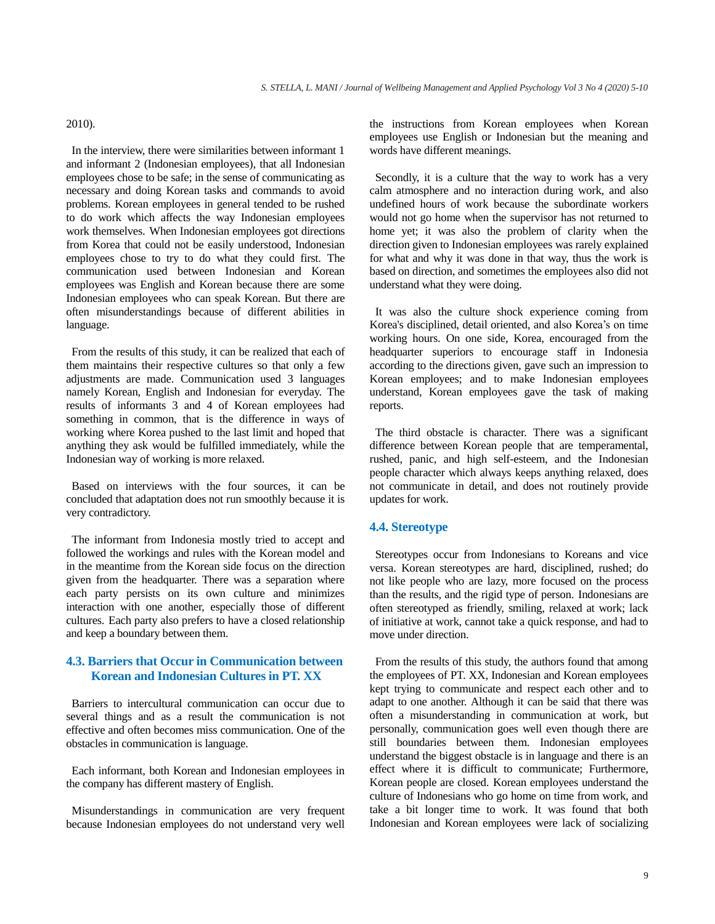#### 2010).

In the interview, there were similarities between informant 1 and informant 2 (Indonesian employees), that all Indonesian employees chose to be safe; in the sense of communicating as necessary and doing Korean tasks and commands to avoid problems. Korean employees in general tended to be rushed to do work which affects the way Indonesian employees work themselves. When Indonesian employees got directions from Korea that could not be easily understood, Indonesian employees chose to try to do what they could first. The communication used between Indonesian and Korean employees was English and Korean because there are some Indonesian employees who can speak Korean. But there are often misunderstandings because of different abilities in language.

From the results of this study, it can be realized that each of them maintains their respective cultures so that only a few adjustments are made. Communication used 3 languages namely Korean, English and Indonesian for everyday. The results of informants 3 and 4 of Korean employees had something in common, that is the difference in ways of working where Korea pushed to the last limit and hoped that anything they ask would be fulfilled immediately, while the Indonesian way of working is more relaxed.

Based on interviews with the four sources, it can be concluded that adaptation does not run smoothly because it is very contradictory.

The informant from Indonesia mostly tried to accept and followed the workings and rules with the Korean model and in the meantime from the Korean side focus on the direction given from the headquarter. There was a separation where each party persists on its own culture and minimizes interaction with one another, especially those of different cultures. Each party also prefers to have a closed relationship and keep a boundary between them.

# **4.3. Barriers that Occur in Communication between Korean and Indonesian Cultures in PT. XX**

Barriers to intercultural communication can occur due to several things and as a result the communication is not effective and often becomes miss communication. One of the obstacles in communication is language.

Each informant, both Korean and Indonesian employees in the company has different mastery of English.

Misunderstandings in communication are very frequent because Indonesian employees do not understand very well

the instructions from Korean employees when Korean employees use English or Indonesian but the meaning and words have different meanings.

Secondly, it is a culture that the way to work has a very calm atmosphere and no interaction during work, and also undefined hours of work because the subordinate workers would not go home when the supervisor has not returned to home yet; it was also the problem of clarity when the direction given to Indonesian employees was rarely explained for what and why it was done in that way, thus the work is based on direction, and sometimes the employees also did not understand what they were doing.

It was also the culture shock experience coming from Korea's disciplined, detail oriented, and also Korea's on time working hours. On one side, Korea, encouraged from the headquarter superiors to encourage staff in Indonesia according to the directions given, gave such an impression to Korean employees; and to make Indonesian employees understand, Korean employees gave the task of making reports.

The third obstacle is character. There was a significant difference between Korean people that are temperamental, rushed, panic, and high self-esteem, and the Indonesian people character which always keeps anything relaxed, does not communicate in detail, and does not routinely provide updates for work.

### **4.4. Stereotype**

Stereotypes occur from Indonesians to Koreans and vice versa. Korean stereotypes are hard, disciplined, rushed; do not like people who are lazy, more focused on the process than the results, and the rigid type of person. Indonesians are often stereotyped as friendly, smiling, relaxed at work; lack of initiative at work, cannot take a quick response, and had to move under direction.

From the results of this study, the authors found that among the employees of PT. XX, Indonesian and Korean employees kept trying to communicate and respect each other and to adapt to one another. Although it can be said that there was often a misunderstanding in communication at work, but personally, communication goes well even though there are still boundaries between them. Indonesian employees understand the biggest obstacle is in language and there is an effect where it is difficult to communicate; Furthermore, Korean people are closed. Korean employees understand the culture of Indonesians who go home on time from work, and take a bit longer time to work. It was found that both Indonesian and Korean employees were lack of socializing